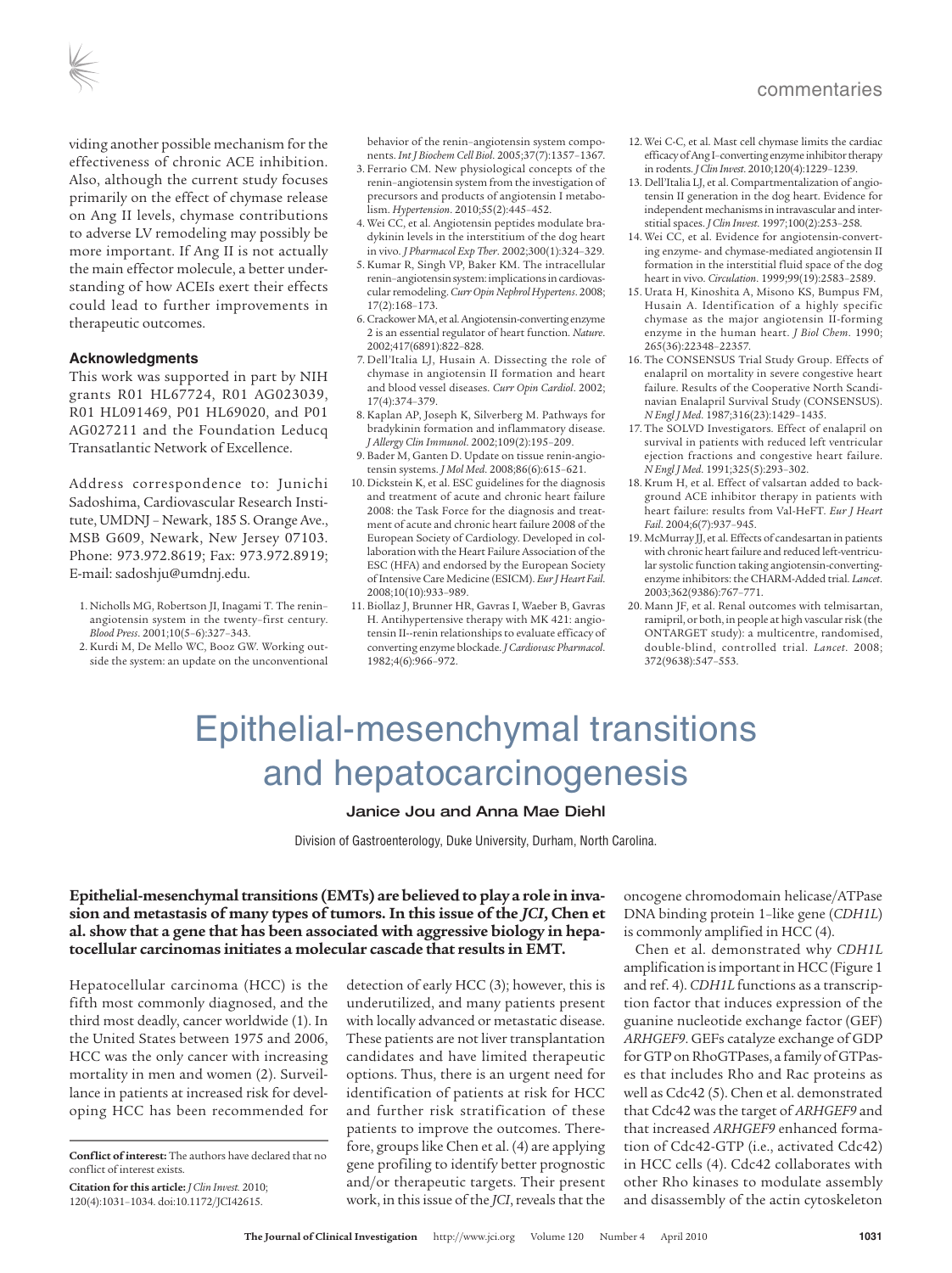viding another possible mechanism for the effectiveness of chronic ACE inhibition. Also, although the current study focuses primarily on the effect of chymase release on Ang II levels, chymase contributions to adverse LV remodeling may possibly be more important. If Ang II is not actually the main effector molecule, a better understanding of how ACEIs exert their effects could lead to further improvements in therapeutic outcomes.

#### **Acknowledgments**

This work was supported in part by NIH grants R01 HL67724, R01 AG023039, R01 HL091469, P01 HL69020, and P01 AG027211 and the Foundation Leducq Transatlantic Network of Excellence.

Address correspondence to: Junichi Sadoshima, Cardiovascular Research Institute, UMDNJ – Newark, 185 S. Orange Ave., MSB G609, Newark, New Jersey 07103. Phone: 973.972.8619; Fax: 973.972.8919; E-mail: sadoshju@umdnj.edu.

- 1. Nicholls MG, Robertson JI, Inagami T. The renin– angiotensin system in the twenty–first century. *Blood Press*. 2001;10(5–6):327–343.
- 2. Kurdi M, De Mello WC, Booz GW. Working outside the system: an update on the unconventional

behavior of the renin–angiotensin system components. *Int J Biochem Cell Biol*. 2005;37(7):1357–1367.

- 3. Ferrario CM. New physiological concepts of the renin–angiotensin system from the investigation of precursors and products of angiotensin I metabolism. *Hypertension*. 2010;55(2):445–452.
- 4. Wei CC, et al. Angiotensin peptides modulate bradykinin levels in the interstitium of the dog heart in vivo. *J Pharmacol Exp Ther*. 2002;300(1):324–329.
- 5. Kumar R, Singh VP, Baker KM. The intracellular renin-angiotensin system: implications in cardiovascular remodeling. *Curr Opin Nephrol Hypertens*. 2008; 17(2):168–173.
- 6. CrackowerMA, et al.Angiotensin-converting enzyme 2 is an essential regulator of heart function. *Nature*. 2002;417(6891):822–828.
- 7. Dell'Italia LJ, Husain A. Dissecting the role of chymase in angiotensin II formation and heart and blood vessel diseases. *Curr Opin Cardiol*. 2002; 17(4):374–379.
- 8. Kaplan AP, Joseph K, Silverberg M. Pathways for bradykinin formation and inflammatory disease. *J Allergy Clin Immunol*. 2002;109(2):195–209.
- 9. Bader M, Ganten D. Update on tissue renin-angiotensin systems. *J Mol Med*. 2008;86(6):615–621.
- 10. Dickstein K, et al. ESC guidelines for the diagnosis and treatment of acute and chronic heart failure 2008: the Task Force for the diagnosis and treatment of acute and chronic heart failure 2008 of the European Society of Cardiology. Developed in collaboration with the Heart Failure Association of the ESC (HFA) and endorsed by the European Society of Intensive Care Medicine (ESICM). *Eur J Heart Fail*. 2008;10(10):933–989.
- 11. Biollaz J, Brunner HR, Gavras I, Waeber B, Gavras H. Antihypertensive therapy with MK 421: angiotensin II--renin relationships to evaluate efficacy of converting enzyme blockade. *J Cardiovasc Pharmacol*. 1982;4(6):966–972.
- 12. Wei C-C, et al. Mast cell chymase limits the cardiac efficacy of Ang I-converting enzyme inhibitor therapy in rodents. *J Clin Invest*. 2010;120(4):1229–1239.
- 13. Dell'Italia LJ, et al. Compartmentalization of angiotensin II generation in the dog heart. Evidence for independent mechanisms in intravascular and interstitial spaces. *J Clin Invest*. 1997;100(2):253-258.
- 14. Wei CC, et al. Evidence for angiotensin-converting enzyme- and chymase-mediated angiotensin II formation in the interstitial fluid space of the dog heart in vivo. *Circulation*. 1999;99(19):2583–2589.
- 15. Urata H, Kinoshita A, Misono KS, Bumpus FM, Husain A. Identification of a highly specific chymase as the major angiotensin II-forming enzyme in the human heart. *J Biol Chem*. 1990; 265(36):22348–22357.
- 16. The CONSENSUS Trial Study Group. Effects of enalapril on mortality in severe congestive heart failure. Results of the Cooperative North Scandinavian Enalapril Survival Study (CONSENSUS). *N Engl J Med*. 1987;316(23):1429–1435.
- 17. The SOLVD Investigators. Effect of enalapril on survival in patients with reduced left ventricular ejection fractions and congestive heart failure. *N Engl J Med*. 1991;325(5):293–302.
- 18. Krum H, et al. Effect of valsartan added to background ACE inhibitor therapy in patients with heart failure: results from Val-HeFT. *Eur J Heart Fail*. 2004;6(7):937–945.
- 19. McMurray JJ, et al. Effects of candesartan in patients with chronic heart failure and reduced left-ventricular systolic function taking angiotensin-convertingenzyme inhibitors: the CHARM-Added trial. *Lancet*. 2003;362(9386):767–771.
- 20. Mann JF, et al. Renal outcomes with telmisartan, ramipril, or both, in people at high vascular risk (the ONTARGET study): a multicentre, randomised, double-blind, controlled trial. *Lancet*. 2008; 372(9638):547–553.

# Epithelial-mesenchymal transitions and hepatocarcinogenesis

### Janice Jou and Anna Mae Diehl

Division of Gastroenterology, Duke University, Durham, North Carolina.

## **Epithelial-mesenchymaltransitions (EMTs) are believed to play a role in invasion and metastasis of many types of tumors. In this issue of the** *JCI***, Chen et al. show that a gene that has been associated with aggressive biology in hepatocellular carcinomas initiates a molecular cascade that results in EMT.**

Hepatocellular carcinoma (HCC) is the fifth most commonly diagnosed, and the third most deadly, cancer worldwide (1). In the United States between 1975 and 2006, HCC was the only cancer with increasing mortality in men and women (2). Surveillance in patients at increased risk for developing HCC has been recommended for

detection of early HCC (3); however, this is underutilized, and many patients present with locally advanced or metastatic disease. These patients are not liver transplantation candidates and have limited therapeutic options. Thus, there is an urgent need for identification of patients at risk for HCC and further risk stratification of these patients to improve the outcomes. Therefore, groups like Chen et al. (4) are applying gene profiling to identify better prognostic and/or therapeutic targets. Their present work, in this issue of the *JCI*, reveals that the

oncogene chromodomain helicase/ATPase DNA binding protein 1–like gene (*CDH1L*) is commonly amplified in HCC (4).

Chen et al. demonstrated why *CDH1L* amplification is important in HCC (Figure 1 and ref. 4). *CDH1L* functions as a transcription factor that induces expression of the guanine nucleotide exchange factor (GEF) *ARHGEF9*. GEFs catalyze exchange of GDP for GTP on RhoGTPases, a family of GTPases that includes Rho and Rac proteins as well as Cdc42 (5). Chen et al. demonstrated that Cdc42 wasthe target of *ARHGEF9* and that increased *ARHGEF9* enhanced formation of Cdc42-GTP (i.e., activated Cdc42) in HCC cells (4). Cdc42 collaborates with other Rho kinases to modulate assembly and disassembly of the actin cytoskeleton

**Conflict of interest:** The authors have declared that no conflict of interest exists.

**Citation for this article:** *J Clin Invest.* 2010; 120(4):1031–1034. doi:10.1172/JCI42615.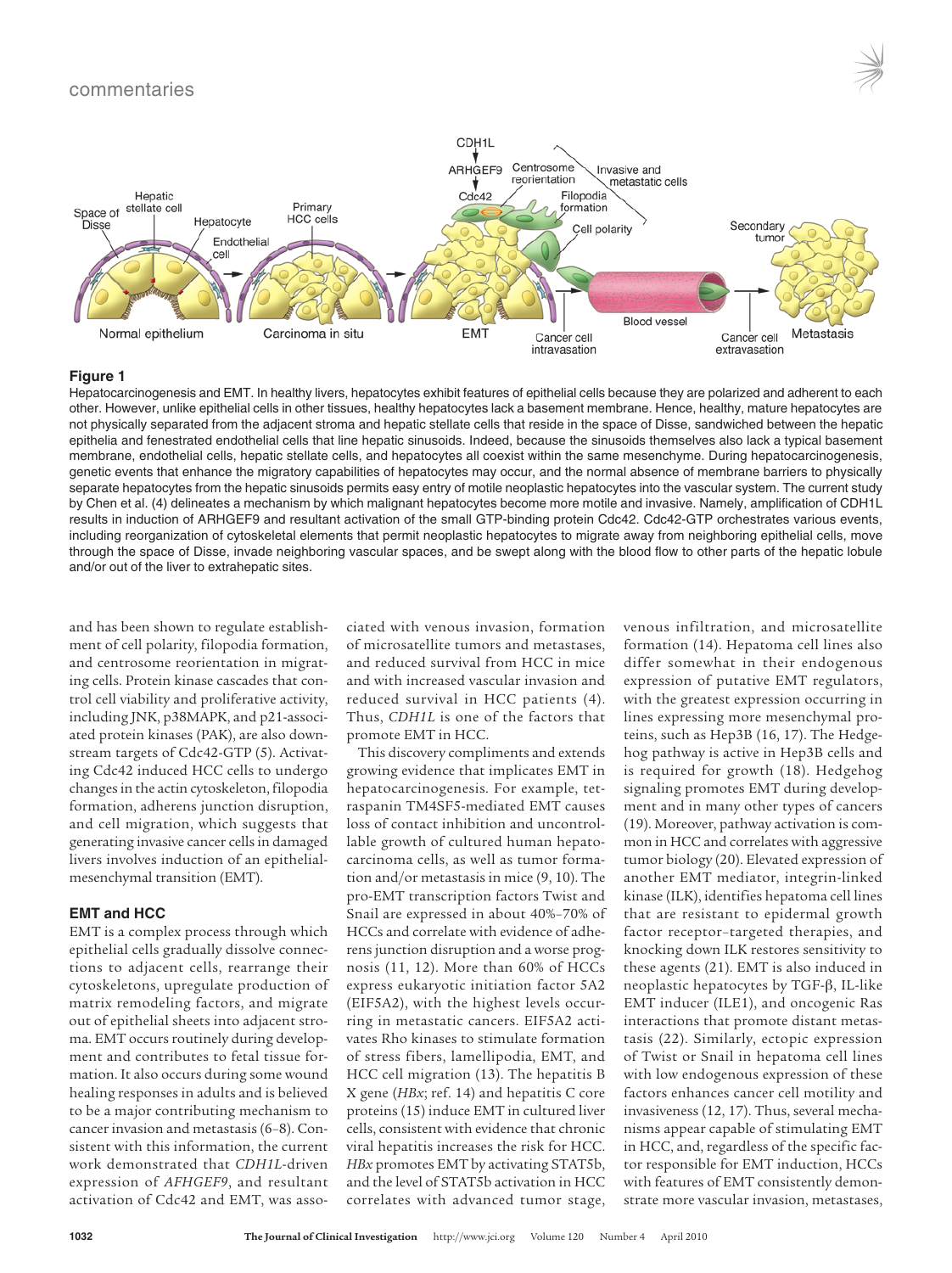



#### **Figure 1**

Hepatocarcinogenesis and EMT. In healthy livers, hepatocytes exhibit features of epithelial cells because they are polarized and adherent to each other. However, unlike epithelial cells in other tissues, healthy hepatocytes lack a basement membrane. Hence, healthy, mature hepatocytes are not physically separated from the adjacent stroma and hepatic stellate cells that reside in the space of Disse, sandwiched between the hepatic epithelia and fenestrated endothelial cells that line hepatic sinusoids. Indeed, because the sinusoids themselves also lack a typical basement membrane, endothelial cells, hepatic stellate cells, and hepatocytes all coexist within the same mesenchyme. During hepatocarcinogenesis, genetic events that enhance the migratory capabilities of hepatocytes may occur, and the normal absence of membrane barriers to physically separate hepatocytes from the hepatic sinusoids permits easy entry of motile neoplastic hepatocytes into the vascular system. The current study by Chen et al. (4) delineates a mechanism by which malignant hepatocytes become more motile and invasive. Namely, amplification of CDH1L results in induction of ARHGEF9 and resultant activation of the small GTP-binding protein Cdc42. Cdc42-GTP orchestrates various events, including reorganization of cytoskeletal elements that permit neoplastic hepatocytes to migrate away from neighboring epithelial cells, move through the space of Disse, invade neighboring vascular spaces, and be swept along with the blood flow to other parts of the hepatic lobule and/or out of the liver to extrahepatic sites.

and has been shown to regulate establishment of cell polarity, filopodia formation, and centrosome reorientation in migrating cells. Protein kinase cascades that control cell viability and proliferative activity, including JNK, p38MAPK, and p21-associated protein kinases (PAK), are also downstream targets of Cdc42-GTP (5). Activating Cdc42 induced HCC cells to undergo changes in the actin cytoskeleton, filopodia formation, adherens junction disruption, and cell migration, which suggests that generating invasive cancer cellsin damaged livers involves induction of an epithelialmesenchymal transition (EMT).

### **EMT and HCC**

EMT is a complex process through which epithelial cells gradually dissolve connections to adjacent cells, rearrange their cytoskeletons, upregulate production of matrix remodeling factors, and migrate out of epithelial sheets into adjacent stroma. EMT occurs routinely during development and contributes to fetal tissue formation. It also occurs during some wound healing responses in adults and is believed to be a major contributing mechanism to cancer invasion and metastasis(6–8). Consistent with this information, the current work demonstrated that *CDH1L*-driven expression of *AFHGEF9*, and resultant activation of Cdc42 and EMT, was associated with venous invasion, formation of microsatellite tumors and metastases, and reduced survival from HCC in mice and with increased vascular invasion and reduced survival in HCC patients (4). Thus, *CDH1L* is one of the factors that promote EMT in HCC.

This discovery compliments and extends growing evidence that implicates EMT in hepatocarcinogenesis. For example, tetraspanin TM4SF5-mediated EMT causes loss of contact inhibition and uncontrollable growth of cultured human hepatocarcinoma cells, as well as tumor formation and/or metastasis in mice (9, 10). The pro-EMT transcription factors Twist and Snail are expressed in about 40%–70% of HCCs and correlate with evidence of adherens junction disruption and a worse prognosis (11, 12). More than 60% of HCCs express eukaryotic initiation factor 5A2 (EIF5A2), with the highest levels occurring in metastatic cancers. EIF5A2 activates Rho kinases to stimulate formation of stress fibers, lamellipodia, EMT, and HCC cell migration (13). The hepatitis B X gene (*HBx*; ref. 14) and hepatitis C core proteins (15) induce EMT in cultured liver cells, consistent with evidence that chronic viral hepatitis increases the risk for HCC. *HBx* promotes EMT by activating STAT5b, and the level of STAT5b activation in HCC correlates with advanced tumor stage,

venous infiltration, and microsatellite formation (14). Hepatoma cell lines also differ somewhat in their endogenous expression of putative EMT regulators, with the greatest expression occurring in lines expressing more mesenchymal proteins, such as Hep3B (16, 17). The Hedgehog pathway is active in Hep3B cells and is required for growth (18). Hedgehog signaling promotes EMT during development and in many other types of cancers (19). Moreover, pathway activation is common in HCC and correlates with aggressive tumor biology (20). Elevated expression of another EMT mediator, integrin-linked kinase (ILK), identifies hepatoma cell lines that are resistant to epidermal growth factor receptor–targeted therapies, and knocking down ILK restores sensitivity to these agents (21). EMT is also induced in neoplastic hepatocytes by TGF-β, IL-like EMT inducer (ILE1), and oncogenic Ras interactions that promote distant metastasis (22). Similarly, ectopic expression of Twist or Snail in hepatoma cell lines with low endogenous expression of these factors enhances cancer cell motility and invasiveness (12, 17). Thus, several mechanisms appear capable of stimulating EMT in HCC, and, regardless of the specific factor responsible for EMT induction, HCCs with features of EMT consistently demonstrate more vascular invasion, metastases,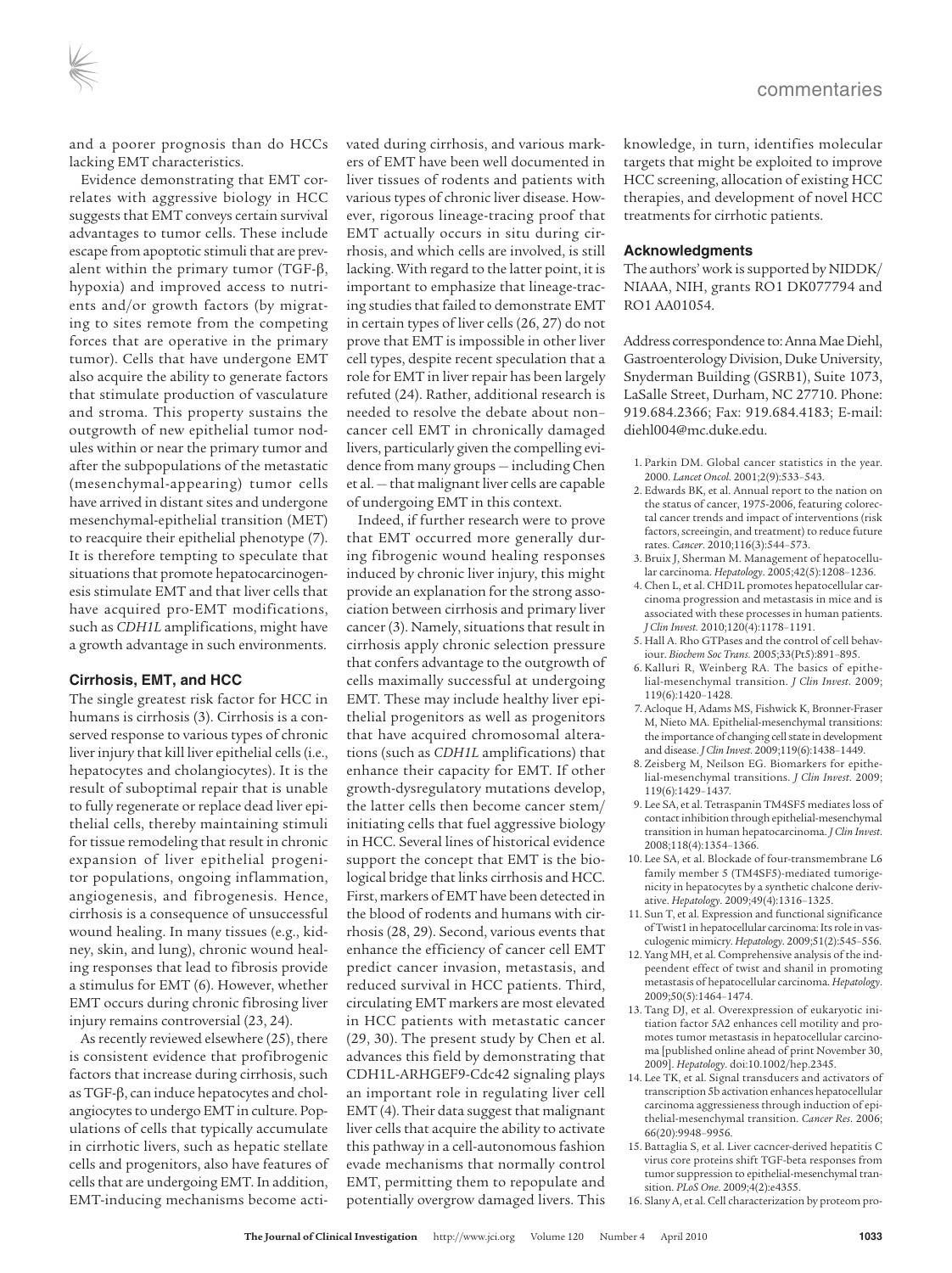and a poorer prognosis than do HCCs lacking EMT characteristics.

Evidence demonstrating that EMT correlates with aggressive biology in HCC suggests that EMT conveys certain survival advantages to tumor cells. These include escape from apoptotic stimuli that are prevalent within the primary tumor (TGF-β, hypoxia) and improved access to nutrients and/or growth factors (by migrating to sites remote from the competing forces that are operative in the primary tumor). Cells that have undergone EMT also acquire the ability to generate factors that stimulate production of vasculature and stroma. This property sustains the outgrowth of new epithelial tumor nodules within or near the primary tumor and after the subpopulations of the metastatic (mesenchymal-appearing) tumor cells have arrived in distant sites and undergone mesenchymal-epithelial transition (MET) to reacquire their epithelial phenotype (7). It is therefore tempting to speculate that situations that promote hepatocarcinogenesis stimulate EMT and that liver cells that have acquired pro-EMT modifications, such as *CDH1L* amplifications, might have a growth advantage in such environments.

### **Cirrhosis, EMT, and HCC**

The single greatest risk factor for HCC in humans is cirrhosis (3). Cirrhosis is a conserved response to various types of chronic liver injury that kill liver epithelial cells (i.e., hepatocytes and cholangiocytes). It is the result of suboptimal repair that is unable to fully regenerate or replace dead liver epithelial cells, thereby maintaining stimuli for tissue remodeling that result in chronic expansion of liver epithelial progenitor populations, ongoing inflammation, angiogenesis, and fibrogenesis. Hence, cirrhosis is a consequence of unsuccessful wound healing. In many tissues (e.g., kidney, skin, and lung), chronic wound healing responses that lead to fibrosis provide a stimulus for EMT (6). However, whether EMT occurs during chronic fibrosing liver injury remains controversial (23, 24).

As recently reviewed elsewhere (25), there is consistent evidence that profibrogenic factors that increase during cirrhosis, such as TGF-β, can induce hepatocytes and cholangiocytes to undergo EMT in culture. Populations of cells that typically accumulate in cirrhotic livers, such as hepatic stellate cells and progenitors, also have features of cells that are undergoing EMT. In addition, EMT-inducing mechanisms become activated during cirrhosis, and various markers of EMT have been well documented in liver tissues of rodents and patients with various types of chronic liver disease. However, rigorous lineage-tracing proof that EMT actually occurs in situ during cirrhosis, and which cells are involved, is still lacking. With regard to the latter point, it is important to emphasize that lineage-tracing studies that failed to demonstrate EMT in certain types of liver cells (26, 27) do not prove that EMT is impossible in other liver cell types, despite recent speculation that a role for EMT in liver repair has been largely refuted (24). Rather, additional research is needed to resolve the debate about non– cancer cell EMT in chronically damaged livers, particularly given the compelling evidence from many groups — including Chen et al. - that malignant liver cells are capable of undergoing EMT in this context.

Indeed, if further research were to prove that EMT occurred more generally during fibrogenic wound healing responses induced by chronic liver injury, this might provide an explanation for the strong association between cirrhosis and primary liver cancer (3). Namely, situations that result in cirrhosis apply chronic selection pressure that confers advantage to the outgrowth of cells maximally successful at undergoing EMT. These may include healthy liver epithelial progenitors as well as progenitors that have acquired chromosomal alterations (such as *CDH1L* amplifications) that enhance their capacity for EMT. If other growth-dysregulatory mutations develop, the latter cells then become cancer stem/ initiating cells that fuel aggressive biology in HCC. Several lines of historical evidence support the concept that EMT is the biological bridge that links cirrhosis and HCC. First, markers of EMT have been detected in the blood of rodents and humans with cirrhosis (28, 29). Second, various events that enhance the efficiency of cancer cell EMT predict cancer invasion, metastasis, and reduced survival in HCC patients. Third, circulating EMT markers are most elevated in HCC patients with metastatic cancer (29, 30). The present study by Chen et al. advances this field by demonstrating that CDH1L-ARHGEF9-Cdc42 signaling plays an important role in regulating liver cell  $EMT(4)$ . Their data suggest that malignant liver cells that acquire the ability to activate this pathway in a cell-autonomous fashion evade mechanisms that normally control EMT, permitting them to repopulate and potentially overgrow damaged livers. This

knowledge, in turn, identifies molecular targets that might be exploited to improve HCC screening, allocation of existing HCC therapies, and development of novel HCC treatments for cirrhotic patients.

#### **Acknowledgments**

The authors' work is supported by NIDDK/ NIAAA, NIH, grants RO1 DK077794 and RO1 AA01054.

Address correspondence to:AnnaMaeDiehl, Gastroenterology Division, Duke University, Snyderman Building (GSRB1), Suite 1073, LaSalle Street, Durham, NC 27710. Phone: 919.684.2366; Fax: 919.684.4183; E-mail: diehl004@mc.duke.edu.

- 1. Parkin DM. Global cancer statistics in the year. 2000. *Lancet Oncol*. 2001;2(9):533–543.
- 2. Edwards BK, et al. Annual report to the nation on the status of cancer, 1975-2006, featuring colorectal cancer trends and impact of interventions (risk factors, screeingin, and treatment) to reduce future rates. *Cancer*. 2010;116(3):544–573.
- 3. Bruix J, Sherman M. Management of hepatocellular carcinoma. *Hepatology*. 2005;42(5):1208–1236.
- 4. Chen L, et al. CHD1L promotes hepatocellular carcinoma progression and metastasis in mice and is associated with these processes in human patients. *J Clin Invest.* 2010;120(4):1178–1191.
- 5. Hall A. Rho GTPases and the control of cell behaviour. *Biochem Soc Trans*. 2005;33(Pt5):891–895.
- 6. Kalluri R, Weinberg RA. The basics of epithelial-mesenchymal transition. *J Clin Invest*. 2009; 119(6):1420–1428.
- 7. Acloque H, Adams MS, Fishwick K, Bronner-Fraser M, Nieto MA. Epithelial-mesenchymal transitions: the importance of changing cell state in development and disease. *J Clin Invest*. 2009;119(6):1438–1449.
- 8. Zeisberg M, Neilson EG. Biomarkers for epithelial-mesenchymal transitions. *J Clin Invest*. 2009; 119(6):1429–1437.
- 9. Lee SA, et al. Tetraspanin TM4SF5 mediates loss of contact inhibition through epithelial-mesenchymal transition in human hepatocarcinoma. *J Clin Invest*. 2008;118(4):1354–1366.
- 10. Lee SA, et al. Blockade of four-transmembrane L6 family member 5 (TM4SF5)-mediated tumorigenicity in hepatocytes by a synthetic chalcone derivative. *Hepatology*. 2009;49(4):1316–1325.
- 11. Sun T, et al. Expression and functional significance of Twist1 in hepatocellular carcinoma: Its role in vasculogenic mimicry. *Hepatology*. 2009;51(2):545–556.
- 12. Yang MH, et al. Comprehensive analysis of the indpeendent effect of twist and shanil in promoting metastasis of hepatocellular carcinoma. *Hepatology*. 2009;50(5):1464–1474.
- 13. Tang DJ, et al. Overexpression of eukaryotic initiation factor 5A2 enhances cell motility and promotes tumor metastasis in hepatocellular carcinoma [published online ahead of print November 30, 2009]. *Hepatology*. doi:10.1002/hep.2345.
- 14. Lee TK, et al. Signal transducers and activators of transcription 5b activation enhances hepatocellular carcinoma aggressieness through induction of epithelial-mesenchymal transition. *Cancer Res*. 2006; 66(20):9948–9956.
- 15. Battaglia S, et al. Liver cacncer-derived hepatitis C virus core proteins shift TGF-beta responses from tumor suppression to epithelial-mesenchymal transition. *PLoS One*. 2009;4(2):e4355.
- 16. Slany A, et al. Cell characterization by proteom pro-